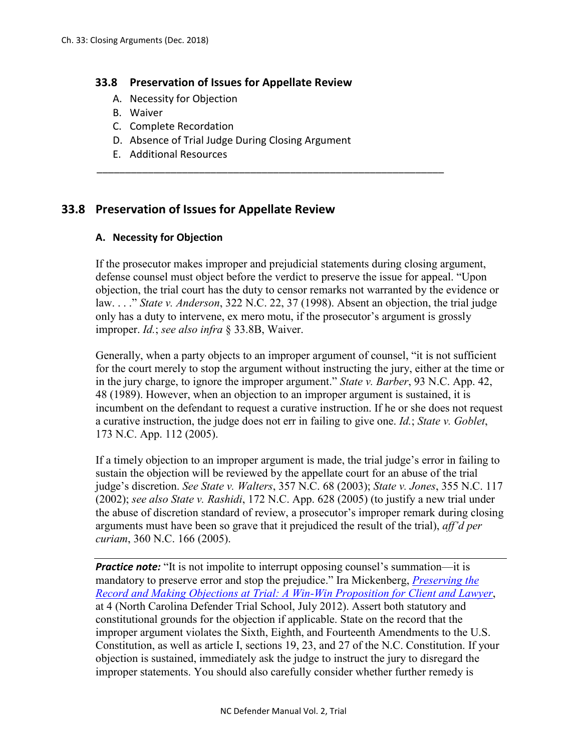# **33.8 Preservation of Issues for Appellate Review**

- A. Necessity for Objection
- B. Waiver
- C. Complete Recordation
- D. Absence of Trial Judge During Closing Argument

\_\_\_\_\_\_\_\_\_\_\_\_\_\_\_\_\_\_\_\_\_\_\_\_\_\_\_\_\_\_\_\_\_\_\_\_\_\_\_\_\_\_\_\_\_\_\_\_\_\_\_\_\_\_\_\_\_\_\_\_\_

E. Additional Resources

# **33.8 Preservation of Issues for Appellate Review**

# **A. Necessity for Objection**

If the prosecutor makes improper and prejudicial statements during closing argument, defense counsel must object before the verdict to preserve the issue for appeal. "Upon objection, the trial court has the duty to censor remarks not warranted by the evidence or law. . . ." *State v. Anderson*, 322 N.C. 22, 37 (1998). Absent an objection, the trial judge only has a duty to intervene, ex mero motu, if the prosecutor's argument is grossly improper. *Id.*; *see also infra* § 33.8B, Waiver.

Generally, when a party objects to an improper argument of counsel, "it is not sufficient for the court merely to stop the argument without instructing the jury, either at the time or in the jury charge, to ignore the improper argument." *State v. Barber*, 93 N.C. App. 42, 48 (1989). However, when an objection to an improper argument is sustained, it is incumbent on the defendant to request a curative instruction. If he or she does not request a curative instruction, the judge does not err in failing to give one. *Id.*; *State v. Goblet*, 173 N.C. App. 112 (2005).

If a timely objection to an improper argument is made, the trial judge's error in failing to sustain the objection will be reviewed by the appellate court for an abuse of the trial judge's discretion. *See State v. Walters*, 357 N.C. 68 (2003); *State v. Jones*, 355 N.C. 117 (2002); *see also State v. Rashidi*, 172 N.C. App. 628 (2005) (to justify a new trial under the abuse of discretion standard of review, a prosecutor's improper remark during closing arguments must have been so grave that it prejudiced the result of the trial), *aff'd per curiam*, 360 N.C. 166 (2005).

*Practice note:* "It is not impolite to interrupt opposing counsel's summation—it is mandatory to preserve error and stop the prejudice." Ira Mickenberg, *[Preserving the](http://www.ncids.org/Defender%20Training/2011DefenderTrialSchool/PreservingRecord%20_Mickenberg.pdf)  [Record and Making Objections at Trial: A Win-Win Proposition for Client and Lawyer](http://www.ncids.org/Defender%20Training/2011DefenderTrialSchool/PreservingRecord%20_Mickenberg.pdf)*, at 4 (North Carolina Defender Trial School, July 2012). Assert both statutory and constitutional grounds for the objection if applicable. State on the record that the improper argument violates the Sixth, Eighth, and Fourteenth Amendments to the U.S. Constitution, as well as article I, sections 19, 23, and 27 of the N.C. Constitution. If your objection is sustained, immediately ask the judge to instruct the jury to disregard the improper statements. You should also carefully consider whether further remedy is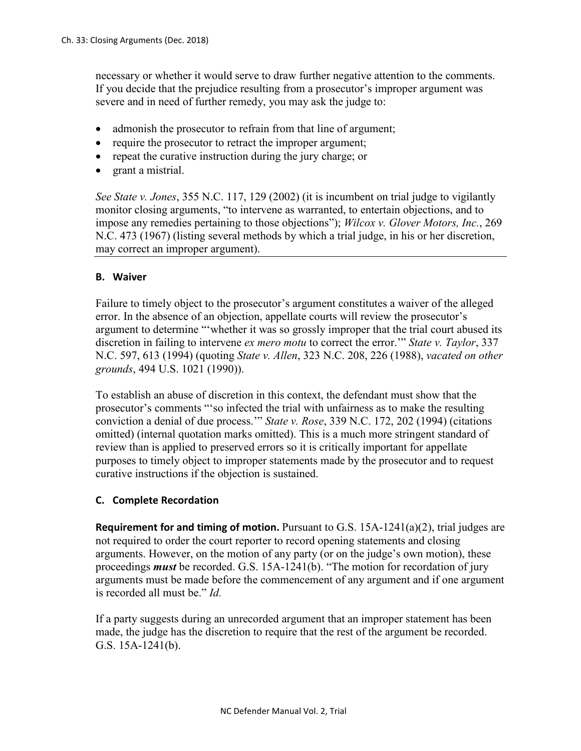necessary or whether it would serve to draw further negative attention to the comments. If you decide that the prejudice resulting from a prosecutor's improper argument was severe and in need of further remedy, you may ask the judge to:

- admonish the prosecutor to refrain from that line of argument;
- require the prosecutor to retract the improper argument;
- repeat the curative instruction during the jury charge; or
- grant a mistrial.

*See State v. Jones*, 355 N.C. 117, 129 (2002) (it is incumbent on trial judge to vigilantly monitor closing arguments, "to intervene as warranted, to entertain objections, and to impose any remedies pertaining to those objections"); *Wilcox v. Glover Motors, Inc.*, 269 N.C. 473 (1967) (listing several methods by which a trial judge, in his or her discretion, may correct an improper argument).

#### **B. Waiver**

Failure to timely object to the prosecutor's argument constitutes a waiver of the alleged error. In the absence of an objection, appellate courts will review the prosecutor's argument to determine "'whether it was so grossly improper that the trial court abused its discretion in failing to intervene *ex mero motu* to correct the error.'" *State v. Taylor*, 337 N.C. 597, 613 (1994) (quoting *State v. Allen*, 323 N.C. 208, 226 (1988), *vacated on other grounds*, 494 U.S. 1021 (1990)).

To establish an abuse of discretion in this context, the defendant must show that the prosecutor's comments "'so infected the trial with unfairness as to make the resulting conviction a denial of due process.'" *State v. Rose*, 339 N.C. 172, 202 (1994) (citations omitted) (internal quotation marks omitted). This is a much more stringent standard of review than is applied to preserved errors so it is critically important for appellate purposes to timely object to improper statements made by the prosecutor and to request curative instructions if the objection is sustained.

#### **C. Complete Recordation**

**Requirement for and timing of motion.** Pursuant to G.S. 15A-1241(a)(2), trial judges are not required to order the court reporter to record opening statements and closing arguments. However, on the motion of any party (or on the judge's own motion), these proceedings **must** be recorded. G.S. 15A-1241(b). "The motion for recordation of jury arguments must be made before the commencement of any argument and if one argument is recorded all must be." *Id.*

If a party suggests during an unrecorded argument that an improper statement has been made, the judge has the discretion to require that the rest of the argument be recorded. G.S. 15A-1241(b).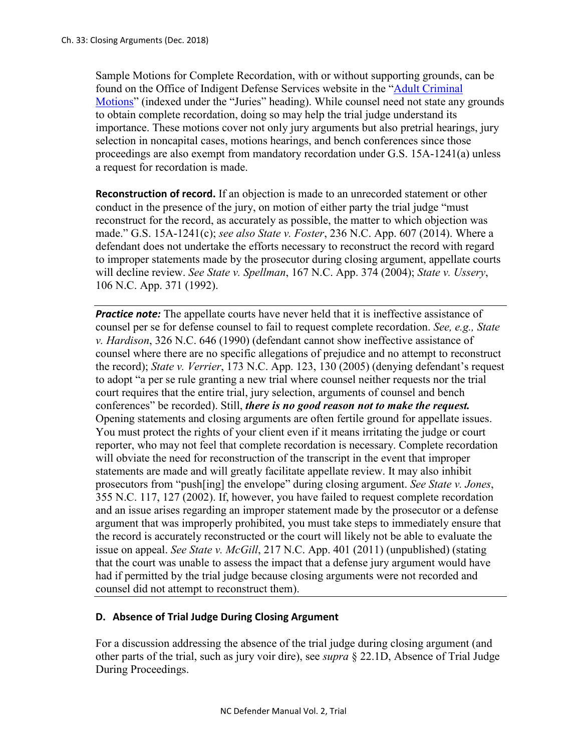Sample Motions for Complete Recordation, with or without supporting grounds, can be found on the Office of Indigent Defense Services website in the ["Adult Criminal](https://www.ncids.org/adult-criminal-cases/adult-criminal-motions/)  [Motions"](https://www.ncids.org/adult-criminal-cases/adult-criminal-motions/) (indexed under the "Juries" heading). While counsel need not state any grounds to obtain complete recordation, doing so may help the trial judge understand its importance. These motions cover not only jury arguments but also pretrial hearings, jury selection in noncapital cases, motions hearings, and bench conferences since those proceedings are also exempt from mandatory recordation under G.S. 15A-1241(a) unless a request for recordation is made.

**Reconstruction of record.** If an objection is made to an unrecorded statement or other conduct in the presence of the jury, on motion of either party the trial judge "must reconstruct for the record, as accurately as possible, the matter to which objection was made." G.S. 15A-1241(c); *see also State v. Foster*, 236 N.C. App. 607 (2014). Where a defendant does not undertake the efforts necessary to reconstruct the record with regard to improper statements made by the prosecutor during closing argument, appellate courts will decline review. *See State v. Spellman*, 167 N.C. App. 374 (2004); *State v. Ussery*, 106 N.C. App. 371 (1992).

**Practice note:** The appellate courts have never held that it is ineffective assistance of counsel per se for defense counsel to fail to request complete recordation. *See, e.g., State v. Hardison*, 326 N.C. 646 (1990) (defendant cannot show ineffective assistance of counsel where there are no specific allegations of prejudice and no attempt to reconstruct the record); *State v. Verrier*, 173 N.C. App. 123, 130 (2005) (denying defendant's request to adopt "a per se rule granting a new trial where counsel neither requests nor the trial court requires that the entire trial, jury selection, arguments of counsel and bench conferences" be recorded). Still, *there is no good reason not to make the request.* Opening statements and closing arguments are often fertile ground for appellate issues. You must protect the rights of your client even if it means irritating the judge or court reporter, who may not feel that complete recordation is necessary. Complete recordation will obviate the need for reconstruction of the transcript in the event that improper statements are made and will greatly facilitate appellate review. It may also inhibit prosecutors from "push[ing] the envelope" during closing argument. *See State v. Jones*, 355 N.C. 117, 127 (2002). If, however, you have failed to request complete recordation and an issue arises regarding an improper statement made by the prosecutor or a defense argument that was improperly prohibited, you must take steps to immediately ensure that the record is accurately reconstructed or the court will likely not be able to evaluate the issue on appeal. *See State v. McGill*, 217 N.C. App. 401 (2011) (unpublished) (stating that the court was unable to assess the impact that a defense jury argument would have had if permitted by the trial judge because closing arguments were not recorded and counsel did not attempt to reconstruct them).

#### **D. Absence of Trial Judge During Closing Argument**

For a discussion addressing the absence of the trial judge during closing argument (and other parts of the trial, such as jury voir dire), see *supra* § 22.1D, Absence of Trial Judge During Proceedings.